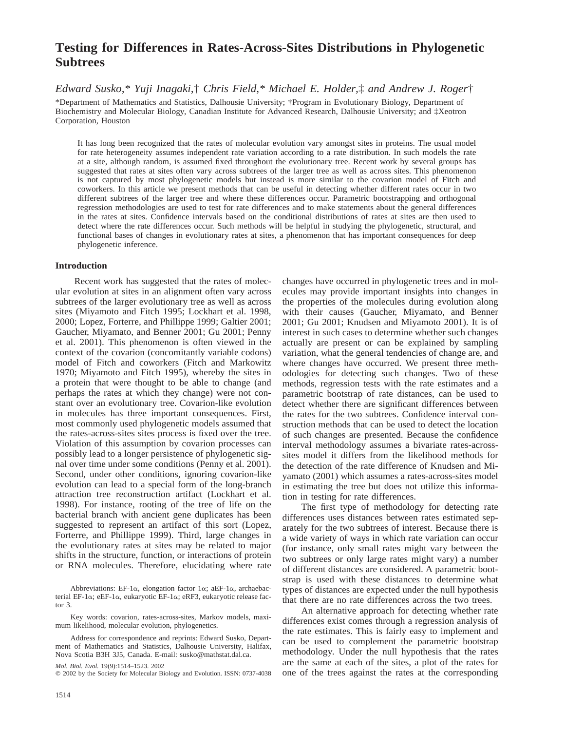# **Testing for Differences in Rates-Across-Sites Distributions in Phylogenetic Subtrees**

*Edward Susko,\* Yuji Inagaki,*† *Chris Field,\* Michael E. Holder,*‡ *and Andrew J. Roger*†

\*Department of Mathematics and Statistics, Dalhousie University; †Program in Evolutionary Biology, Department of Biochemistry and Molecular Biology, Canadian Institute for Advanced Research, Dalhousie University; and ‡Xeotron Corporation, Houston

It has long been recognized that the rates of molecular evolution vary amongst sites in proteins. The usual model for rate heterogeneity assumes independent rate variation according to a rate distribution. In such models the rate at a site, although random, is assumed fixed throughout the evolutionary tree. Recent work by several groups has suggested that rates at sites often vary across subtrees of the larger tree as well as across sites. This phenomenon is not captured by most phylogenetic models but instead is more similar to the covarion model of Fitch and coworkers. In this article we present methods that can be useful in detecting whether different rates occur in two different subtrees of the larger tree and where these differences occur. Parametric bootstrapping and orthogonal regression methodologies are used to test for rate differences and to make statements about the general differences in the rates at sites. Confidence intervals based on the conditional distributions of rates at sites are then used to detect where the rate differences occur. Such methods will be helpful in studying the phylogenetic, structural, and functional bases of changes in evolutionary rates at sites, a phenomenon that has important consequences for deep phylogenetic inference.

## **Introduction**

Recent work has suggested that the rates of molecular evolution at sites in an alignment often vary across subtrees of the larger evolutionary tree as well as across sites (Miyamoto and Fitch 1995; Lockhart et al. 1998, 2000; Lopez, Forterre, and Phillippe 1999; Galtier 2001; Gaucher, Miyamato, and Benner 2001; Gu 2001; Penny et al. 2001). This phenomenon is often viewed in the context of the covarion (concomitantly variable codons) model of Fitch and coworkers (Fitch and Markowitz 1970; Miyamoto and Fitch 1995), whereby the sites in a protein that were thought to be able to change (and perhaps the rates at which they change) were not constant over an evolutionary tree. Covarion-like evolution in molecules has three important consequences. First, most commonly used phylogenetic models assumed that the rates-across-sites sites process is fixed over the tree. Violation of this assumption by covarion processes can possibly lead to a longer persistence of phylogenetic signal over time under some conditions (Penny et al. 2001). Second, under other conditions, ignoring covarion-like evolution can lead to a special form of the long-branch attraction tree reconstruction artifact (Lockhart et al. 1998). For instance, rooting of the tree of life on the bacterial branch with ancient gene duplicates has been suggested to represent an artifact of this sort (Lopez, Forterre, and Phillippe 1999). Third, large changes in the evolutionary rates at sites may be related to major shifts in the structure, function, or interactions of protein or RNA molecules. Therefore, elucidating where rate

Abbreviations: EF-1 $\alpha$ , elongation factor 1 $\alpha$ ; aEF-1 $\alpha$ , archaebacterial EF-1 $\alpha$ ; eEF-1 $\alpha$ , eukaryotic EF-1 $\alpha$ ; eRF3, eukaryotic release factor 3.

Key words: covarion, rates-across-sites, Markov models, maximum likelihood, molecular evolution, phylogenetics.

*Mol. Biol. Evol.* 19(9):1514–1523. 2002

 $©$  2002 by the Society for Molecular Biology and Evolution. ISSN: 0737-4038

changes have occurred in phylogenetic trees and in molecules may provide important insights into changes in the properties of the molecules during evolution along with their causes (Gaucher, Miyamato, and Benner 2001; Gu 2001; Knudsen and Miyamoto 2001). It is of interest in such cases to determine whether such changes actually are present or can be explained by sampling variation, what the general tendencies of change are, and where changes have occurred. We present three methodologies for detecting such changes. Two of these methods, regression tests with the rate estimates and a parametric bootstrap of rate distances, can be used to detect whether there are significant differences between the rates for the two subtrees. Confidence interval construction methods that can be used to detect the location of such changes are presented. Because the confidence interval methodology assumes a bivariate rates-acrosssites model it differs from the likelihood methods for the detection of the rate difference of Knudsen and Miyamato (2001) which assumes a rates-across-sites model in estimating the tree but does not utilize this information in testing for rate differences.

The first type of methodology for detecting rate differences uses distances between rates estimated separately for the two subtrees of interest. Because there is a wide variety of ways in which rate variation can occur (for instance, only small rates might vary between the two subtrees or only large rates might vary) a number of different distances are considered. A parametric bootstrap is used with these distances to determine what types of distances are expected under the null hypothesis that there are no rate differences across the two trees.

An alternative approach for detecting whether rate differences exist comes through a regression analysis of the rate estimates. This is fairly easy to implement and can be used to complement the parametric bootstrap methodology. Under the null hypothesis that the rates are the same at each of the sites, a plot of the rates for one of the trees against the rates at the corresponding

Address for correspondence and reprints: Edward Susko, Department of Mathematics and Statistics, Dalhousie University, Halifax, Nova Scotia B3H 3J5, Canada. E-mail: susko@mathstat.dal.ca.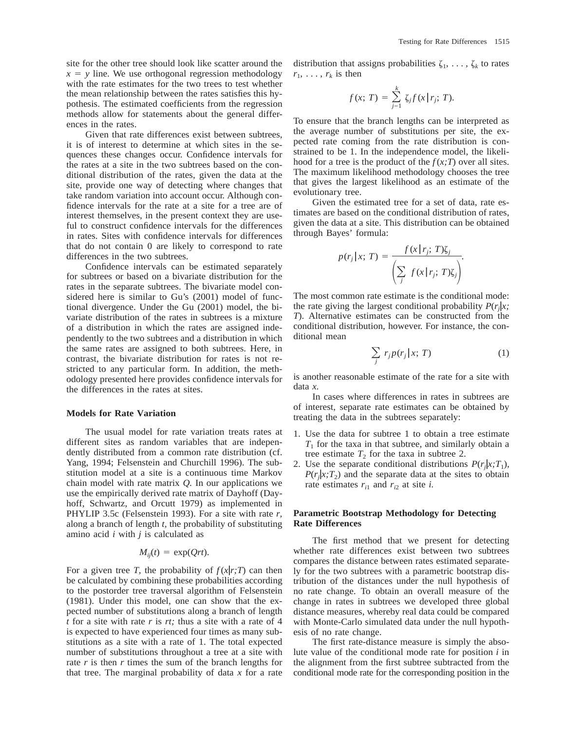site for the other tree should look like scatter around the  $x = y$  line. We use orthogonal regression methodology with the rate estimates for the two trees to test whether the mean relationship between the rates satisfies this hypothesis. The estimated coefficients from the regression methods allow for statements about the general differences in the rates.

Given that rate differences exist between subtrees, it is of interest to determine at which sites in the sequences these changes occur. Confidence intervals for the rates at a site in the two subtrees based on the conditional distribution of the rates, given the data at the site, provide one way of detecting where changes that take random variation into account occur. Although confidence intervals for the rate at a site for a tree are of interest themselves, in the present context they are useful to construct confidence intervals for the differences in rates. Sites with confidence intervals for differences that do not contain 0 are likely to correspond to rate differences in the two subtrees.

Confidence intervals can be estimated separately for subtrees or based on a bivariate distribution for the rates in the separate subtrees. The bivariate model considered here is similar to Gu's (2001) model of functional divergence. Under the Gu (2001) model, the bivariate distribution of the rates in subtrees is a mixture of a distribution in which the rates are assigned independently to the two subtrees and a distribution in which the same rates are assigned to both subtrees. Here, in contrast, the bivariate distribution for rates is not restricted to any particular form. In addition, the methodology presented here provides confidence intervals for the differences in the rates at sites.

#### **Models for Rate Variation**

The usual model for rate variation treats rates at different sites as random variables that are independently distributed from a common rate distribution (cf. Yang, 1994; Felsenstein and Churchill 1996). The substitution model at a site is a continuous time Markov chain model with rate matrix *Q.* In our applications we use the empirically derived rate matrix of Dayhoff (Dayhoff, Schwartz, and Orcutt 1979) as implemented in PHYLIP 3.5c (Felsenstein 1993). For a site with rate *r,* along a branch of length *t,* the probability of substituting amino acid *i* with *j* is calculated as

$$
M_{ij}(t) = \exp(Qrt).
$$

For a given tree *T*, the probability of  $f(x|r;T)$  can then be calculated by combining these probabilities according to the postorder tree traversal algorithm of Felsenstein (1981). Under this model, one can show that the expected number of substitutions along a branch of length *t* for a site with rate *r* is *rt;* thus a site with a rate of 4 is expected to have experienced four times as many substitutions as a site with a rate of 1. The total expected number of substitutions throughout a tree at a site with rate *r* is then *r* times the sum of the branch lengths for that tree. The marginal probability of data *x* for a rate

distribution that assigns probabilities  $\zeta_1, \ldots, \zeta_k$  to rates  $r_1, \ldots, r_k$  is then

$$
f(x; T) = \sum_{j=1}^{k} \zeta_{j} f(x | r_{j}; T).
$$

To ensure that the branch lengths can be interpreted as the average number of substitutions per site, the expected rate coming from the rate distribution is constrained to be 1. In the independence model, the likelihood for a tree is the product of the  $f(x;T)$  over all sites. The maximum likelihood methodology chooses the tree that gives the largest likelihood as an estimate of the evolutionary tree.

Given the estimated tree for a set of data, rate estimates are based on the conditional distribution of rates, given the data at a site. This distribution can be obtained through Bayes' formula:

$$
p(r_j|x; T) = \frac{f(x|r_j; T)\zeta_j}{\left(\sum_j f(x|r_j; T)\zeta_j\right)}.
$$

The most common rate estimate is the conditional mode: the rate giving the largest conditional probability  $P(r_j|x;$ *T*). Alternative estimates can be constructed from the conditional distribution, however. For instance, the conditional mean

$$
\sum_{j} r_{j} p(r_{j} | x; T) \tag{1}
$$

is another reasonable estimate of the rate for a site with data *x.*

In cases where differences in rates in subtrees are of interest, separate rate estimates can be obtained by treating the data in the subtrees separately:

- 1. Use the data for subtree 1 to obtain a tree estimate  $T<sub>1</sub>$  for the taxa in that subtree, and similarly obtain a tree estimate  $T_2$  for the taxa in subtree 2.
- 2. Use the separate conditional distributions  $P(r_j|x;T_1)$ ,  $P(r_j|x;T_2)$  and the separate data at the sites to obtain rate estimates  $r_{i1}$  and  $r_{i2}$  at site *i*.

## **Parametric Bootstrap Methodology for Detecting Rate Differences**

The first method that we present for detecting whether rate differences exist between two subtrees compares the distance between rates estimated separately for the two subtrees with a parametric bootstrap distribution of the distances under the null hypothesis of no rate change. To obtain an overall measure of the change in rates in subtrees we developed three global distance measures, whereby real data could be compared with Monte-Carlo simulated data under the null hypothesis of no rate change.

The first rate-distance measure is simply the absolute value of the conditional mode rate for position *i* in the alignment from the first subtree subtracted from the conditional mode rate for the corresponding position in the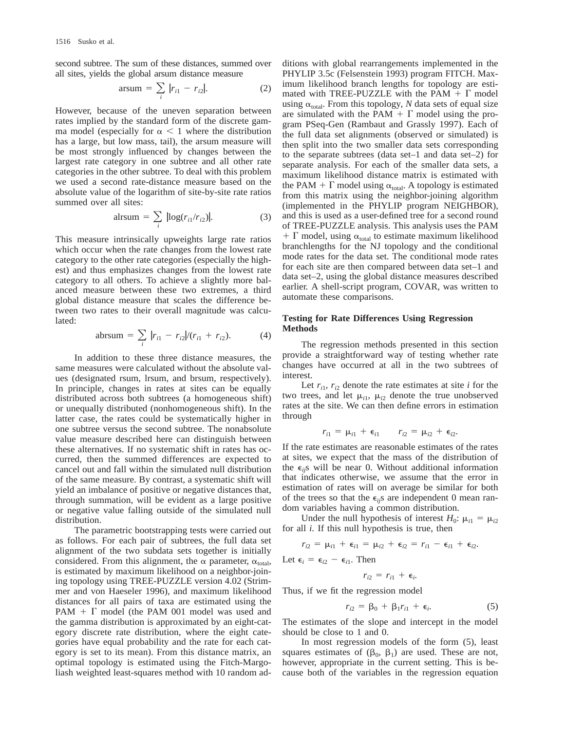second subtree. The sum of these distances, summed over all sites, yields the global arsum distance measure

$$
\text{arsum} = \sum_{i} |r_{i1} - r_{i2}|. \tag{2}
$$

However, because of the uneven separation between rates implied by the standard form of the discrete gamma model (especially for  $\alpha$  < 1 where the distribution has a large, but low mass, tail), the arsum measure will be most strongly influenced by changes between the largest rate category in one subtree and all other rate categories in the other subtree. To deal with this problem we used a second rate-distance measure based on the absolute value of the logarithm of site-by-site rate ratios summed over all sites:

$$
\text{alrsum} = \sum_{i} |\log(r_{i1}/r_{i2})|.
$$
 (3)

This measure intrinsically upweights large rate ratios which occur when the rate changes from the lowest rate category to the other rate categories (especially the highest) and thus emphasizes changes from the lowest rate category to all others. To achieve a slightly more balanced measure between these two extremes, a third global distance measure that scales the difference between two rates to their overall magnitude was calculated:

$$
\text{abssum} = \sum_{i} |r_{i1} - r_{i2}|/(r_{i1} + r_{i2}). \tag{4}
$$

In addition to these three distance measures, the same measures were calculated without the absolute values (designated rsum, lrsum, and brsum, respectively). In principle, changes in rates at sites can be equally distributed across both subtrees (a homogeneous shift) or unequally distributed (nonhomogeneous shift). In the latter case, the rates could be systematically higher in one subtree versus the second subtree. The nonabsolute value measure described here can distinguish between these alternatives. If no systematic shift in rates has occurred, then the summed differences are expected to cancel out and fall within the simulated null distribution of the same measure. By contrast, a systematic shift will yield an imbalance of positive or negative distances that, through summation, will be evident as a large positive or negative value falling outside of the simulated null distribution.

The parametric bootstrapping tests were carried out as follows. For each pair of subtrees, the full data set alignment of the two subdata sets together is initially considered. From this alignment, the  $\alpha$  parameter,  $\alpha_{\text{total}}$ , is estimated by maximum likelihood on a neighbor-joining topology using TREE-PUZZLE version 4.02 (Strimmer and von Haeseler 1996), and maximum likelihood distances for all pairs of taxa are estimated using the PAM  $+ \Gamma$  model (the PAM 001 model was used and the gamma distribution is approximated by an eight-category discrete rate distribution, where the eight categories have equal probability and the rate for each category is set to its mean). From this distance matrix, an optimal topology is estimated using the Fitch-Margoliash weighted least-squares method with 10 random ad-

ditions with global rearrangements implemented in the PHYLIP 3.5c (Felsenstein 1993) program FITCH. Maximum likelihood branch lengths for topology are estimated with TREE-PUZZLE with the PAM  $+ \Gamma$  model using  $\alpha_{total}$ . From this topology, *N* data sets of equal size are simulated with the PAM  $+ \Gamma$  model using the program PSeq-Gen (Rambaut and Grassly 1997). Each of the full data set alignments (observed or simulated) is then split into the two smaller data sets corresponding to the separate subtrees (data set–1 and data set–2) for separate analysis. For each of the smaller data sets, a maximum likelihood distance matrix is estimated with the PAM +  $\Gamma$  model using  $\alpha_{\text{total}}$ . A topology is estimated from this matrix using the neighbor-joining algorithm (implemented in the PHYLIP program NEIGHBOR), and this is used as a user-defined tree for a second round of TREE-PUZZLE analysis. This analysis uses the PAM  $+ \Gamma$  model, using  $\alpha_{\text{total}}$  to estimate maximum likelihood branchlengths for the NJ topology and the conditional mode rates for the data set. The conditional mode rates for each site are then compared between data set–1 and data set–2, using the global distance measures described earlier. A shell-script program, COVAR, was written to automate these comparisons.

## **Testing for Rate Differences Using Regression Methods**

The regression methods presented in this section provide a straightforward way of testing whether rate changes have occurred at all in the two subtrees of interest.

Let  $r_{i1}$ ,  $r_{i2}$  denote the rate estimates at site *i* for the two trees, and let  $\mu_{i1}$ ,  $\mu_{i2}$  denote the true unobserved rates at the site. We can then define errors in estimation through

$$
r_{i1} = \mu_{i1} + \epsilon_{i1} \qquad r_{i2} = \mu_{i2} + \epsilon_{i2}.
$$

If the rate estimates are reasonable estimates of the rates at sites, we expect that the mass of the distribution of the  $\epsilon_{ij}$ s will be near 0. Without additional information that indicates otherwise, we assume that the error in estimation of rates will on average be similar for both of the trees so that the  $\epsilon_{ij}$ s are independent 0 mean random variables having a common distribution.

Under the null hypothesis of interest  $H_0$ :  $\mu_{i1} = \mu_{i2}$ for all *i.* If this null hypothesis is true, then

$$
r_{i2} = \mu_{i1} + \epsilon_{i1} = \mu_{i2} + \epsilon_{i2} = r_{i1} - \epsilon_{i1} + \epsilon_{i2}.
$$

Let  $\epsilon_i = \epsilon_{i2} - \epsilon_{i1}$ . Then

$$
r_{i2}=r_{i1}+\epsilon_i.
$$

Thus, if we fit the regression model

$$
r_{i2} = \beta_0 + \beta_1 r_{i1} + \epsilon_i. \tag{5}
$$

The estimates of the slope and intercept in the model should be close to 1 and 0.

In most regression models of the form (5), least squares estimates of  $(\beta_0, \beta_1)$  are used. These are not, however, appropriate in the current setting. This is because both of the variables in the regression equation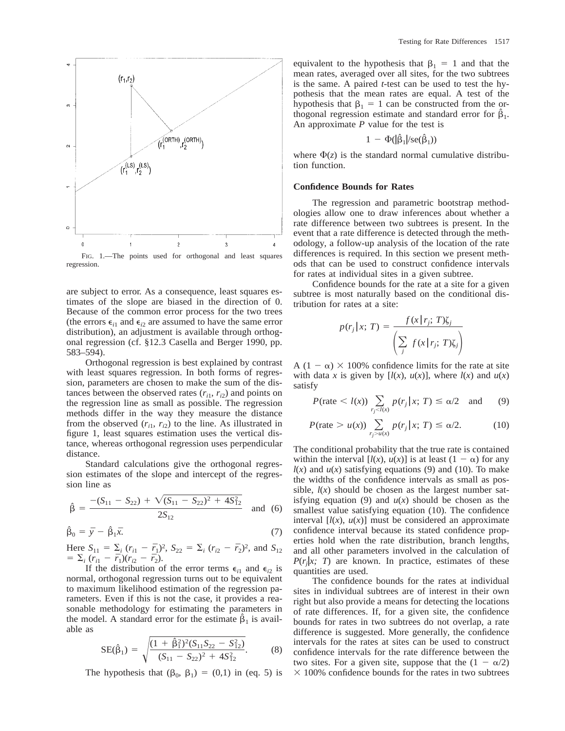

FIG. 1.—The points used for orthogonal and least squares regression.

are subject to error. As a consequence, least squares estimates of the slope are biased in the direction of 0. Because of the common error process for the two trees (the errors  $\epsilon_{i1}$  and  $\epsilon_{i2}$  are assumed to have the same error distribution), an adjustment is available through orthogonal regression (cf. §12.3 Casella and Berger 1990, pp. 583–594).

Orthogonal regression is best explained by contrast with least squares regression. In both forms of regression, parameters are chosen to make the sum of the distances between the observed rates  $(r_{i1}, r_{i2})$  and points on the regression line as small as possible. The regression methods differ in the way they measure the distance from the observed  $(r_{i1}, r_{i2})$  to the line. As illustrated in figure 1, least squares estimation uses the vertical distance, whereas orthogonal regression uses perpendicular distance.

Standard calculations give the orthogonal regression estimates of the slope and intercept of the regression line as

$$
\hat{\beta} = \frac{-(S_{11} - S_{22}) + \sqrt{(S_{11} - S_{22})^2 + 4S_{12}^2}}{2S_{12}} \quad \text{and} \quad (6)
$$

$$
\hat{\beta}_0 = \bar{y} - \hat{\beta}_1 \bar{x}.\tag{7}
$$

Here  $S_{11} = \sum_i (r_{i1} - \bar{r}_1)^2$ ,  $S_{22} = \sum_i (r_{i2} - \bar{r}_2)^2$ , and  $S_{12}$  $= \sum_i (r_{i1} - \bar{r}_1)(r_{i2} - \bar{r}_2).$ 

If the distribution of the error terms  $\epsilon_{i1}$  and  $\epsilon_{i2}$  is normal, orthogonal regression turns out to be equivalent to maximum likelihood estimation of the regression parameters. Even if this is not the case, it provides a reasonable methodology for estimating the parameters in the model. A standard error for the estimate  $\hat{\beta}_1$  is available as

SE(
$$
\hat{\beta}_1
$$
) =  $\sqrt{\frac{(1 + \hat{\beta}_1^2)^2 (S_{11} S_{22} - S_{12}^2)}{(S_{11} - S_{22})^2 + 4S_{12}^2}}$ . (8)

The hypothesis that  $(\beta_0, \beta_1) = (0,1)$  in (eq. 5) is

equivalent to the hypothesis that  $\beta_1 = 1$  and that the mean rates, averaged over all sites, for the two subtrees is the same. A paired *t*-test can be used to test the hypothesis that the mean rates are equal. A test of the hypothesis that  $\beta_1 = 1$  can be constructed from the orthogonal regression estimate and standard error for  $\hat{\beta}_1$ . An approximate *P* value for the test is

$$
1 - \Phi(|\hat{\beta}_1|/\text{se}(\hat{\beta}_1))
$$

where  $\Phi(z)$  is the standard normal cumulative distribution function.

## **Confidence Bounds for Rates**

The regression and parametric bootstrap methodologies allow one to draw inferences about whether a rate difference between two subtrees is present. In the event that a rate difference is detected through the methodology, a follow-up analysis of the location of the rate differences is required. In this section we present methods that can be used to construct confidence intervals for rates at individual sites in a given subtree.

Confidence bounds for the rate at a site for a given subtree is most naturally based on the conditional distribution for rates at a site:

$$
p(r_j|x; T) = \frac{f(x|r_j; T)\zeta_j}{\left(\sum_j f(x|r_j; T)\zeta_j\right)}
$$

A  $(1 - \alpha) \times 100\%$  confidence limits for the rate at site with data *x* is given by  $[l(x), u(x)]$ , where  $l(x)$  and  $u(x)$ satisfy

$$
P(\text{rate} < l(x)) \sum_{r_j < l(x)} p(r_j | x; T) \le \alpha/2 \quad \text{and} \quad (9)
$$

$$
P(\text{rate} > u(x)) \sum_{r_j > u(x)}^{\infty} p(r_j | x; T) \le \alpha/2. \tag{10}
$$

The conditional probability that the true rate is contained within the interval  $[l(x), u(x)]$  is at least  $(1 - \alpha)$  for any  $l(x)$  and  $u(x)$  satisfying equations (9) and (10). To make the widths of the confidence intervals as small as possible,  $l(x)$  should be chosen as the largest number satisfying equation (9) and  $u(x)$  should be chosen as the smallest value satisfying equation (10). The confidence interval  $[l(x), u(x)]$  must be considered an approximate confidence interval because its stated confidence properties hold when the rate distribution, branch lengths, and all other parameters involved in the calculation of  $P(r_j|x; T)$  are known. In practice, estimates of these quantities are used.

The confidence bounds for the rates at individual sites in individual subtrees are of interest in their own right but also provide a means for detecting the locations of rate differences. If, for a given site, the confidence bounds for rates in two subtrees do not overlap, a rate difference is suggested. More generally, the confidence intervals for the rates at sites can be used to construct confidence intervals for the rate difference between the two sites. For a given site, suppose that the  $(1 - \alpha/2)$  $\times$  100% confidence bounds for the rates in two subtrees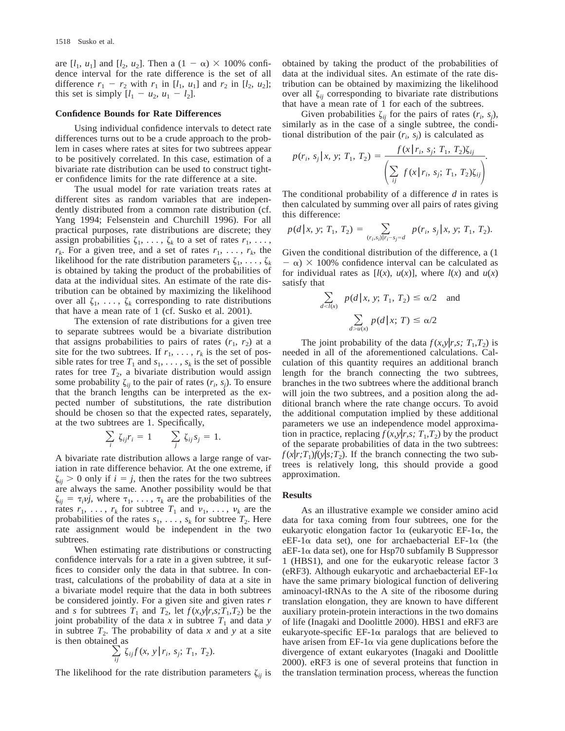are  $[l_1, u_1]$  and  $[l_2, u_2]$ . Then a  $(1 - \alpha) \times 100\%$  confidence interval for the rate difference is the set of all difference  $r_1 - r_2$  with  $r_1$  in  $[l_1, u_1]$  and  $r_2$  in  $[l_2, u_2]$ ; this set is simply  $[l_1 - u_2, u_1 - l_2]$ .

# **Confidence Bounds for Rate Differences**

Using individual confidence intervals to detect rate differences turns out to be a crude approach to the problem in cases where rates at sites for two subtrees appear to be positively correlated. In this case, estimation of a bivariate rate distribution can be used to construct tighter confidence limits for the rate difference at a site.

The usual model for rate variation treats rates at different sites as random variables that are independently distributed from a common rate distribution (cf. Yang 1994; Felsenstein and Churchill 1996). For all practical purposes, rate distributions are discrete; they assign probabilities  $\zeta_1, \ldots, \zeta_k$  to a set of rates  $r_1, \ldots,$  $r_k$ . For a given tree, and a set of rates  $r_1, \ldots, r_k$ , the likelihood for the rate distribution parameters  $\zeta_1, \ldots, \zeta_k$ is obtained by taking the product of the probabilities of data at the individual sites. An estimate of the rate distribution can be obtained by maximizing the likelihood over all  $\zeta_1, \ldots, \zeta_k$  corresponding to rate distributions that have a mean rate of 1 (cf. Susko et al. 2001).

The extension of rate distributions for a given tree to separate subtrees would be a bivariate distribution that assigns probabilities to pairs of rates  $(r_1, r_2)$  at a site for the two subtrees. If  $r_1, \ldots, r_k$  is the set of possible rates for tree  $T_1$  and  $s_1, \ldots, s_k$  is the set of possible rates for tree  $T_2$ , a bivariate distribution would assign some probability  $\zeta_{ij}$  to the pair of rates  $(r_i, s_j)$ . To ensure that the branch lengths can be interpreted as the expected number of substitutions, the rate distribution should be chosen so that the expected rates, separately,

at the two subtrees are 1. Specifically,  

$$
\sum_{i} \zeta_{ij} r_i = 1 \qquad \sum_{j} \zeta_{ij} s_j = 1.
$$

A bivariate rate distribution allows a large range of variation in rate difference behavior. At the one extreme, if  $\zeta_{ii} > 0$  only if  $i = j$ , then the rates for the two subtrees are always the same. Another possibility would be that  $\zeta_{ij} = \tau_i \nu j$ , where  $\tau_1, \ldots, \tau_k$  are the probabilities of the rates  $r_1, \ldots, r_k$  for subtree  $T_1$  and  $v_1, \ldots, v_k$  are the probabilities of the rates  $s_1, \ldots, s_k$  for subtree  $T_2$ . Here rate assignment would be independent in the two subtrees.

When estimating rate distributions or constructing confidence intervals for a rate in a given subtree, it suffices to consider only the data in that subtree. In contrast, calculations of the probability of data at a site in a bivariate model require that the data in both subtrees be considered jointly. For a given site and given rates *r* and *s* for subtrees  $T_1$  and  $T_2$ , let  $f(x,y|r,s;T_1,T_2)$  be the joint probability of the data x in subtree  $T_1$  and data y in subtree  $T_2$ . The probability of data x and y at a site is then obtained as

$$
\sum_{ij} \zeta_{ij} f(x, y | r_i, s_j; T_1, T_2).
$$

The likelihood for the rate distribution parameters  $\zeta_{ij}$  is

obtained by taking the product of the probabilities of data at the individual sites. An estimate of the rate distribution can be obtained by maximizing the likelihood over all  $\zeta_{ij}$  corresponding to bivariate rate distributions that have a mean rate of 1 for each of the subtrees.

Given probabilities  $\zeta_{ij}$  for the pairs of rates  $(r_i, s_j)$ , similarly as in the case of a single subtree, the conditional distribution of the pair  $(r_i, s_j)$  is calculated as

$$
p(r_i, s_j | x, y; T_1, T_2) = \frac{f(x | r_i, s_j; T_1, T_2) \zeta_{ij}}{\left(\sum_{ij} f(x | r_i, s_j; T_1, T_2) \zeta_{ij}\right)}.
$$

The conditional probability of a difference *d* in rates is then calculated by summing over all pairs of rates giving this difference:

$$
p(d | x, y; T_1, T_2) = \sum_{(r_i, s_i) | r_i - s_j = d} p(r_i, s_j | x, y; T_1, T_2).
$$

Given the conditional distribution of the difference, a (1  $- \alpha$ )  $\times$  100% confidence interval can be calculated as for individual rates as  $[l(x), u(x)]$ , where  $l(x)$  and  $u(x)$ satisfy that

$$
\sum_{d < l(x)} p(d \mid x, y; T_1, T_2) \le \alpha/2 \quad \text{and}
$$
\n
$$
\sum_{d > u(x)} p(d \mid x; T) \le \alpha/2
$$

The joint probability of the data  $f(x, y | r, s; T_1, T_2)$  is needed in all of the aforementioned calculations. Calculation of this quantity requires an additional branch length for the branch connecting the two subtrees, branches in the two subtrees where the additional branch will join the two subtrees, and a position along the additional branch where the rate change occurs. To avoid the additional computation implied by these additional parameters we use an independence model approximation in practice, replacing  $f(x,y|r,s; T_1,T_2)$  by the product of the separate probabilities of data in the two subtrees:  $f(x|r;T_1)f(y|s;T_2)$ . If the branch connecting the two subtrees is relatively long, this should provide a good approximation.

## **Results**

As an illustrative example we consider amino acid data for taxa coming from four subtrees, one for the eukaryotic elongation factor  $1\alpha$  (eukaryotic EF-1 $\alpha$ , the  $eEF-1\alpha$  data set), one for archaebacterial  $EF-1\alpha$  (the  $aEF-1\alpha$  data set), one for Hsp70 subfamily B Suppressor 1 (HBS1), and one for the eukaryotic release factor 3 (eRF3). Although eukaryotic and archaebacterial EF-1 $\alpha$ have the same primary biological function of delivering aminoacyl-tRNAs to the A site of the ribosome during translation elongation, they are known to have different auxiliary protein-protein interactions in the two domains of life (Inagaki and Doolittle 2000). HBS1 and eRF3 are eukaryote-specific EF-1 $\alpha$  paralogs that are believed to have arisen from EF-1 $\alpha$  via gene duplications before the divergence of extant eukaryotes (Inagaki and Doolittle 2000). eRF3 is one of several proteins that function in the translation termination process, whereas the function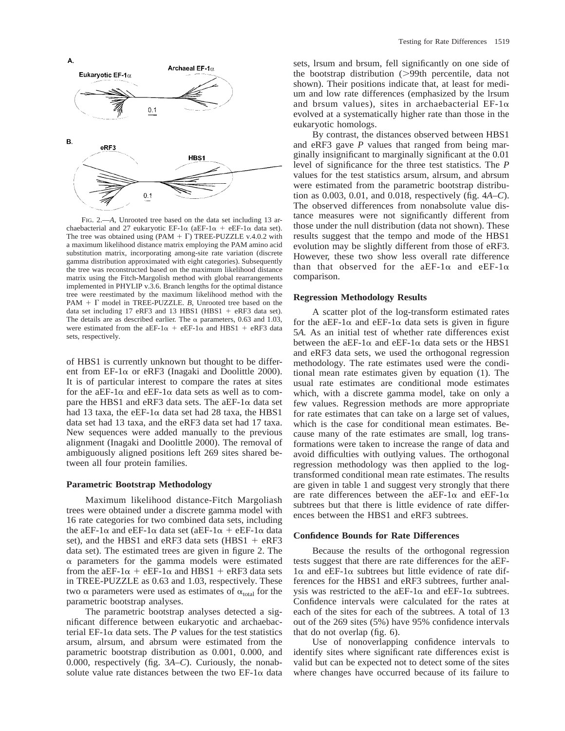

FIG. 2.—*A*, Unrooted tree based on the data set including 13 archaebacterial and 27 eukaryotic EF-1 $\alpha$  (aEF-1 $\alpha$  + eEF-1 $\alpha$  data set). The tree was obtained using (PAM +  $\Gamma$ ) TREE-PUZZLE v.4.0.2 with a maximum likelihood distance matrix employing the PAM amino acid substitution matrix, incorporating among-site rate variation (discrete gamma distribution approximated with eight categories). Subsequently the tree was reconstructed based on the maximum likelihood distance matrix using the Fitch-Margolish method with global rearrangements implemented in PHYLIP v.3.6. Branch lengths for the optimal distance tree were reestimated by the maximum likelihood method with the PAM  $+ \Gamma$  model in TREE-PUZZLE. *B*, Unrooted tree based on the data set including 17 eRF3 and 13 HBS1 (HBS1 + eRF3 data set). The details are as described earlier. The  $\alpha$  parameters, 0.63 and 1.03, were estimated from the aEF-1 $\alpha$  + eEF-1 $\alpha$  and HBS1 + eRF3 data sets, respectively.

of HBS1 is currently unknown but thought to be different from EF-1 $\alpha$  or eRF3 (Inagaki and Doolittle 2000). It is of particular interest to compare the rates at sites for the aEF-1 $\alpha$  and eEF-1 $\alpha$  data sets as well as to compare the HBS1 and eRF3 data sets. The aEF-1 $\alpha$  data set had 13 taxa, the eEF-1 $\alpha$  data set had 28 taxa, the HBS1 data set had 13 taxa, and the eRF3 data set had 17 taxa. New sequences were added manually to the previous alignment (Inagaki and Doolittle 2000). The removal of ambiguously aligned positions left 269 sites shared between all four protein families.

#### **Parametric Bootstrap Methodology**

Maximum likelihood distance-Fitch Margoliash trees were obtained under a discrete gamma model with 16 rate categories for two combined data sets, including the aEF-1 $\alpha$  and eEF-1 $\alpha$  data set (aEF-1 $\alpha$  + eEF-1 $\alpha$  data set), and the HBS1 and eRF3 data sets (HBS1  $+$  eRF3 data set). The estimated trees are given in figure 2. The  $\alpha$  parameters for the gamma models were estimated from the aEF-1 $\alpha$  + eEF-1 $\alpha$  and HBS1 + eRF3 data sets in TREE-PUZZLE as 0.63 and 1.03, respectively. These two  $\alpha$  parameters were used as estimates of  $\alpha_{total}$  for the parametric bootstrap analyses.

The parametric bootstrap analyses detected a significant difference between eukaryotic and archaebacterial EF-1 $\alpha$  data sets. The *P* values for the test statistics arsum, alrsum, and abrsum were estimated from the parametric bootstrap distribution as 0.001, 0.000, and 0.000, respectively (fig. 3*A*–*C*). Curiously, the nonabsolute value rate distances between the two EF-1 $\alpha$  data sets, lrsum and brsum, fell significantly on one side of the bootstrap distribution  $(>99th)$  percentile, data not shown). Their positions indicate that, at least for medium and low rate differences (emphasized by the lrsum and brsum values), sites in archaebacterial EF-1 $\alpha$ evolved at a systematically higher rate than those in the eukaryotic homologs.

By contrast, the distances observed between HBS1 and eRF3 gave *P* values that ranged from being marginally insignificant to marginally significant at the 0.01 level of significance for the three test statistics. The *P* values for the test statistics arsum, alrsum, and abrsum were estimated from the parametric bootstrap distribution as 0.003, 0.01, and 0.018, respectively (fig. 4*A*–*C*). The observed differences from nonabsolute value distance measures were not significantly different from those under the null distribution (data not shown). These results suggest that the tempo and mode of the HBS1 evolution may be slightly different from those of eRF3. However, these two show less overall rate difference than that observed for the aEF-1 $\alpha$  and eEF-1 $\alpha$ comparison.

#### **Regression Methodology Results**

A scatter plot of the log-transform estimated rates for the aEF-1 $\alpha$  and eEF-1 $\alpha$  data sets is given in figure 5*A.* As an initial test of whether rate differences exist between the aEF-1 $\alpha$  and eEF-1 $\alpha$  data sets or the HBS1 and eRF3 data sets, we used the orthogonal regression methodology. The rate estimates used were the conditional mean rate estimates given by equation (1). The usual rate estimates are conditional mode estimates which, with a discrete gamma model, take on only a few values. Regression methods are more appropriate for rate estimates that can take on a large set of values, which is the case for conditional mean estimates. Because many of the rate estimates are small, log transformations were taken to increase the range of data and avoid difficulties with outlying values. The orthogonal regression methodology was then applied to the logtransformed conditional mean rate estimates. The results are given in table 1 and suggest very strongly that there are rate differences between the aEF-1 $\alpha$  and eEF-1 $\alpha$ subtrees but that there is little evidence of rate differences between the HBS1 and eRF3 subtrees.

#### **Confidence Bounds for Rate Differences**

Because the results of the orthogonal regression tests suggest that there are rate differences for the aEF- $1\alpha$  and eEF-1 $\alpha$  subtrees but little evidence of rate differences for the HBS1 and eRF3 subtrees, further analysis was restricted to the aEF-1 $\alpha$  and eEF-1 $\alpha$  subtrees. Confidence intervals were calculated for the rates at each of the sites for each of the subtrees. A total of 13 out of the 269 sites (5%) have 95% confidence intervals that do not overlap (fig. 6).

Use of nonoverlapping confidence intervals to identify sites where significant rate differences exist is valid but can be expected not to detect some of the sites where changes have occurred because of its failure to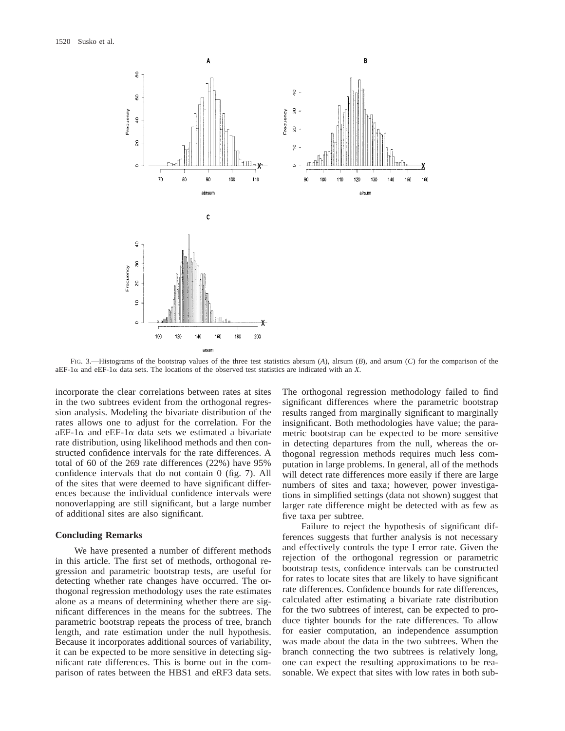

FIG. 3.—Histograms of the bootstrap values of the three test statistics abrsum (*A*), alrsum (*B*), and arsum (*C*) for the comparison of the  $aEF-1\alpha$  and  $eEF-1\alpha$  data sets. The locations of the observed test statistics are indicated with an *X*.

incorporate the clear correlations between rates at sites in the two subtrees evident from the orthogonal regression analysis. Modeling the bivariate distribution of the rates allows one to adjust for the correlation. For the  $aEF-1\alpha$  and eEF-1 $\alpha$  data sets we estimated a bivariate rate distribution, using likelihood methods and then constructed confidence intervals for the rate differences. A total of 60 of the 269 rate differences (22%) have 95% confidence intervals that do not contain 0 (fig. 7). All of the sites that were deemed to have significant differences because the individual confidence intervals were nonoverlapping are still significant, but a large number of additional sites are also significant.

## **Concluding Remarks**

We have presented a number of different methods in this article. The first set of methods, orthogonal regression and parametric bootstrap tests, are useful for detecting whether rate changes have occurred. The orthogonal regression methodology uses the rate estimates alone as a means of determining whether there are significant differences in the means for the subtrees. The parametric bootstrap repeats the process of tree, branch length, and rate estimation under the null hypothesis. Because it incorporates additional sources of variability, it can be expected to be more sensitive in detecting significant rate differences. This is borne out in the comparison of rates between the HBS1 and eRF3 data sets. The orthogonal regression methodology failed to find significant differences where the parametric bootstrap results ranged from marginally significant to marginally insignificant. Both methodologies have value; the parametric bootstrap can be expected to be more sensitive in detecting departures from the null, whereas the orthogonal regression methods requires much less computation in large problems. In general, all of the methods will detect rate differences more easily if there are large numbers of sites and taxa; however, power investigations in simplified settings (data not shown) suggest that larger rate difference might be detected with as few as five taxa per subtree.

Failure to reject the hypothesis of significant differences suggests that further analysis is not necessary and effectively controls the type I error rate. Given the rejection of the orthogonal regression or parametric bootstrap tests, confidence intervals can be constructed for rates to locate sites that are likely to have significant rate differences. Confidence bounds for rate differences, calculated after estimating a bivariate rate distribution for the two subtrees of interest, can be expected to produce tighter bounds for the rate differences. To allow for easier computation, an independence assumption was made about the data in the two subtrees. When the branch connecting the two subtrees is relatively long, one can expect the resulting approximations to be reasonable. We expect that sites with low rates in both sub-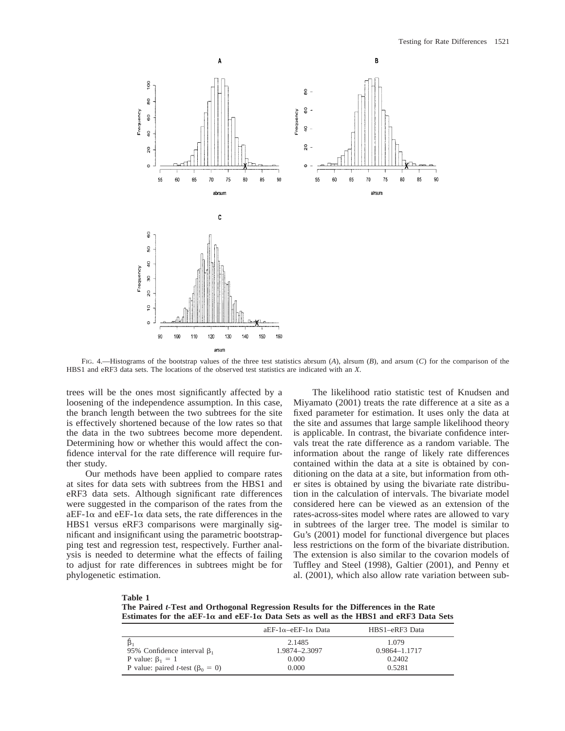

FIG. 4.—Histograms of the bootstrap values of the three test statistics abrsum (*A*), alrsum (*B*), and arsum (*C*) for the comparison of the HBS1 and eRF3 data sets. The locations of the observed test statistics are indicated with an *X*.

trees will be the ones most significantly affected by a loosening of the independence assumption. In this case, the branch length between the two subtrees for the site is effectively shortened because of the low rates so that the data in the two subtrees become more dependent. Determining how or whether this would affect the confidence interval for the rate difference will require further study.

Our methods have been applied to compare rates at sites for data sets with subtrees from the HBS1 and eRF3 data sets. Although significant rate differences were suggested in the comparison of the rates from the  $aEF-1\alpha$  and eEF-1 $\alpha$  data sets, the rate differences in the HBS1 versus eRF3 comparisons were marginally significant and insignificant using the parametric bootstrapping test and regression test, respectively. Further analysis is needed to determine what the effects of failing to adjust for rate differences in subtrees might be for phylogenetic estimation.

The likelihood ratio statistic test of Knudsen and Miyamato (2001) treats the rate difference at a site as a fixed parameter for estimation. It uses only the data at the site and assumes that large sample likelihood theory is applicable. In contrast, the bivariate confidence intervals treat the rate difference as a random variable. The information about the range of likely rate differences contained within the data at a site is obtained by conditioning on the data at a site, but information from other sites is obtained by using the bivariate rate distribution in the calculation of intervals. The bivariate model considered here can be viewed as an extension of the rates-across-sites model where rates are allowed to vary in subtrees of the larger tree. The model is similar to Gu's (2001) model for functional divergence but places less restrictions on the form of the bivariate distribution. The extension is also similar to the covarion models of Tuffley and Steel (1998), Galtier (2001), and Penny et al. (2001), which also allow rate variation between sub-

**Table 1 The Paired** *t***-Test and Orthogonal Regression Results for the Differences in the Rate Estimates for the aEF-1** $\alpha$  **and eEF-1** $\alpha$  **Data Sets as well as the HBS1 and eRF3 Data Sets** 

|                                                  | $aEF-1\alpha$ -e $EF-1\alpha$ Data | HBS1-eRF3 Data |
|--------------------------------------------------|------------------------------------|----------------|
|                                                  | 2.1485                             | 1.079          |
| 95% Confidence interval $\beta_1$                | 1.9874-2.3097                      | 0.9864-1.1717  |
| P value: $\beta_1 = 1$                           | 0.000                              | 0.2402         |
| P value: paired <i>t</i> -test ( $\beta_0 = 0$ ) | 0.000                              | 0.5281         |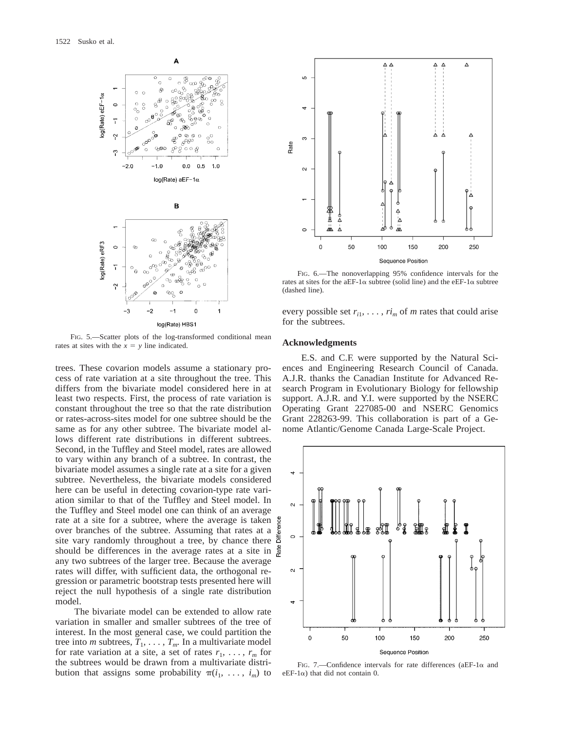

FIG. 5.—Scatter plots of the log-transformed conditional mean rates at sites with the  $x = y$  line indicated.

trees. These covarion models assume a stationary process of rate variation at a site throughout the tree. This differs from the bivariate model considered here in at least two respects. First, the process of rate variation is constant throughout the tree so that the rate distribution or rates-across-sites model for one subtree should be the same as for any other subtree. The bivariate model allows different rate distributions in different subtrees. Second, in the Tuffley and Steel model, rates are allowed to vary within any branch of a subtree. In contrast, the bivariate model assumes a single rate at a site for a given subtree. Nevertheless, the bivariate models considered here can be useful in detecting covarion-type rate variation similar to that of the Tuffley and Steel model. In the Tuffley and Steel model one can think of an average rate at a site for a subtree, where the average is taken over branches of the subtree. Assuming that rates at a site vary randomly throughout a tree, by chance there should be differences in the average rates at a site in  $\frac{a}{b}$ any two subtrees of the larger tree. Because the average rates will differ, with sufficient data, the orthogonal regression or parametric bootstrap tests presented here will reject the null hypothesis of a single rate distribution model.

The bivariate model can be extended to allow rate variation in smaller and smaller subtrees of the tree of interest. In the most general case, we could partition the tree into *m* subtrees,  $T_1, \ldots, T_m$ . In a multivariate model for rate variation at a site, a set of rates  $r_1, \ldots, r_m$  for the subtrees would be drawn from a multivariate distribution that assigns some probability  $\pi(i_1, \ldots, i_m)$  to



FIG. 6.—The nonoverlapping 95% confidence intervals for the rates at sites for the aEF-1 $\alpha$  subtree (solid line) and the eEF-1 $\alpha$  subtree (dashed line).

every possible set  $r_{i1}, \ldots, r_{i_m}$  of *m* rates that could arise for the subtrees.

### **Acknowledgments**

E.S. and C.F. were supported by the Natural Sciences and Engineering Research Council of Canada. A.J.R. thanks the Canadian Institute for Advanced Research Program in Evolutionary Biology for fellowship support. A.J.R. and Y.I. were supported by the NSERC Operating Grant 227085-00 and NSERC Genomics Grant 228263-99. This collaboration is part of a Genome Atlantic/Genome Canada Large-Scale Project.



FIG. 7. - Confidence intervals for rate differences (aEF-1 $\alpha$  and  $eEF-1\alpha$ ) that did not contain 0.